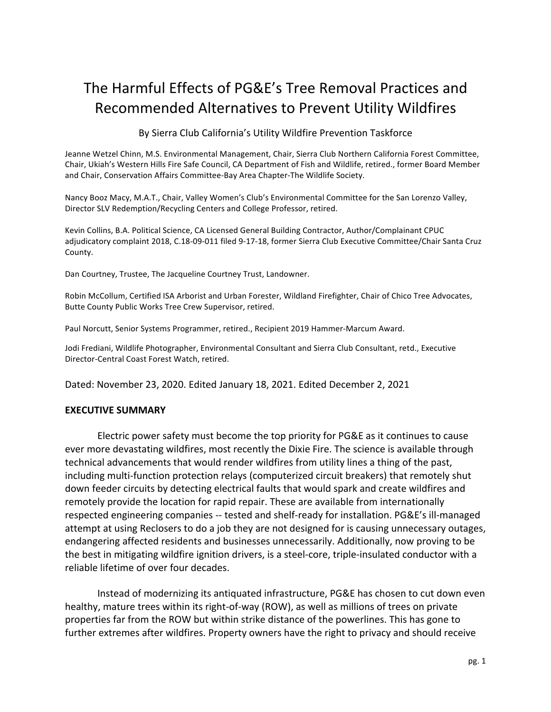# The Harmful Effects of PG&E's Tree Removal Practices and Recommended Alternatives to Prevent Utility Wildfires

By Sierra Club California's Utility Wildfire Prevention Taskforce

Jeanne Wetzel Chinn, M.S. Environmental Management, Chair, Sierra Club Northern California Forest Committee, Chair, Ukiah's Western Hills Fire Safe Council, CA Department of Fish and Wildlife, retired., former Board Member and Chair, Conservation Affairs Committee-Bay Area Chapter-The Wildlife Society.

Nancy Booz Macy, M.A.T., Chair, Valley Women's Club's Environmental Committee for the San Lorenzo Valley, Director SLV Redemption/Recycling Centers and College Professor, retired.

Kevin Collins, B.A. Political Science, CA Licensed General Building Contractor, Author/Complainant CPUC adjudicatory complaint 2018, C.18-09-011 filed 9-17-18, former Sierra Club Executive Committee/Chair Santa Cruz County.

Dan Courtney, Trustee, The Jacqueline Courtney Trust, Landowner.

Robin McCollum, Certified ISA Arborist and Urban Forester, Wildland Firefighter, Chair of Chico Tree Advocates, Butte County Public Works Tree Crew Supervisor, retired.

Paul Norcutt, Senior Systems Programmer, retired., Recipient 2019 Hammer-Marcum Award.

Jodi Frediani, Wildlife Photographer, Environmental Consultant and Sierra Club Consultant, retd., Executive Director-Central Coast Forest Watch, retired.

Dated: November 23, 2020. Edited January 18, 2021. Edited December 2, 2021

#### **EXECUTIVE SUMMARY**

Electric power safety must become the top priority for PG&E as it continues to cause ever more devastating wildfires, most recently the Dixie Fire. The science is available through technical advancements that would render wildfires from utility lines a thing of the past, including multi-function protection relays (computerized circuit breakers) that remotely shut down feeder circuits by detecting electrical faults that would spark and create wildfires and remotely provide the location for rapid repair. These are available from internationally respected engineering companies -- tested and shelf-ready for installation. PG&E's ill-managed attempt at using Reclosers to do a job they are not designed for is causing unnecessary outages, endangering affected residents and businesses unnecessarily. Additionally, now proving to be the best in mitigating wildfire ignition drivers, is a steel-core, triple-insulated conductor with a reliable lifetime of over four decades.

Instead of modernizing its antiquated infrastructure, PG&E has chosen to cut down even healthy, mature trees within its right-of-way (ROW), as well as millions of trees on private properties far from the ROW but within strike distance of the powerlines. This has gone to further extremes after wildfires. Property owners have the right to privacy and should receive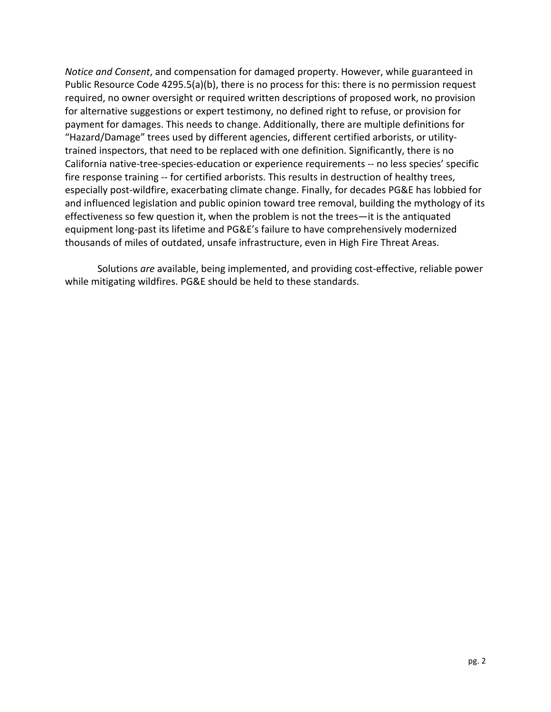*Notice and Consent*, and compensation for damaged property. However, while guaranteed in Public Resource Code  $4295.5(a)(b)$ , there is no process for this: there is no permission request required, no owner oversight or required written descriptions of proposed work, no provision for alternative suggestions or expert testimony, no defined right to refuse, or provision for payment for damages. This needs to change. Additionally, there are multiple definitions for "Hazard/Damage" trees used by different agencies, different certified arborists, or utilitytrained inspectors, that need to be replaced with one definition. Significantly, there is no California native-tree-species-education or experience requirements -- no less species' specific fire response training -- for certified arborists. This results in destruction of healthy trees, especially post-wildfire, exacerbating climate change. Finally, for decades PG&E has lobbied for and influenced legislation and public opinion toward tree removal, building the mythology of its effectiveness so few question it, when the problem is not the trees—it is the antiquated equipment long-past its lifetime and PG&E's failure to have comprehensively modernized thousands of miles of outdated, unsafe infrastructure, even in High Fire Threat Areas.

Solutions are available, being implemented, and providing cost-effective, reliable power while mitigating wildfires. PG&E should be held to these standards.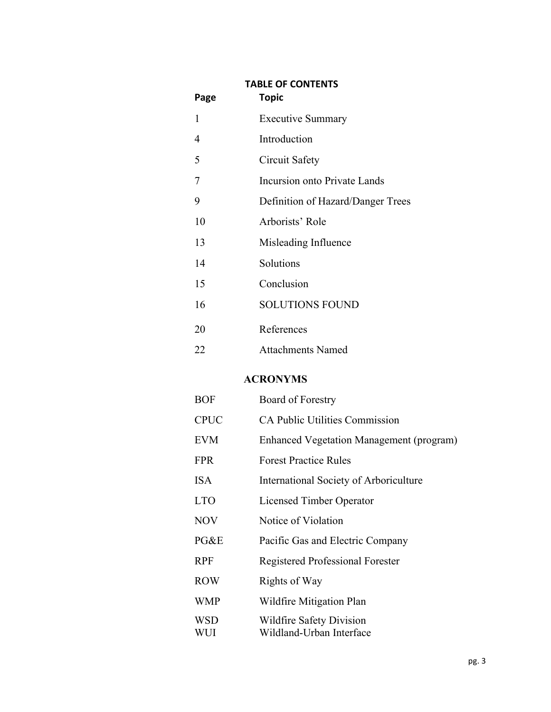| Page | <b>TABLE OF CONTENTS</b><br><b>Topic</b> |
|------|------------------------------------------|
| 1    | <b>Executive Summary</b>                 |
| 4    | Introduction                             |
| 5    | Circuit Safety                           |
| 7    | Incursion onto Private Lands             |
| 9    | Definition of Hazard/Danger Trees        |
| 10   | Arborists' Role                          |
| 13   | Misleading Influence                     |
| 14   | Solutions                                |
| 15   | Conclusion                               |
| 16   | <b>SOLUTIONS FOUND</b>                   |
| 20   | References                               |
| 22   | <b>Attachments Named</b>                 |

## **ACRONYMS**

| <b>BOF</b>               | Board of Forestry                                    |
|--------------------------|------------------------------------------------------|
| <b>CPUC</b>              | <b>CA Public Utilities Commission</b>                |
| <b>EVM</b>               | <b>Enhanced Vegetation Management (program)</b>      |
| <b>FPR</b>               | <b>Forest Practice Rules</b>                         |
| <b>ISA</b>               | International Society of Arboriculture               |
| <b>LTO</b>               | <b>Licensed Timber Operator</b>                      |
| <b>NOV</b>               | Notice of Violation                                  |
| PG&E                     | Pacific Gas and Electric Company                     |
| <b>RPF</b>               | Registered Professional Forester                     |
| <b>ROW</b>               | Rights of Way                                        |
| <b>WMP</b>               | Wildfire Mitigation Plan                             |
| <b>WSD</b><br><b>WUI</b> | Wildfire Safety Division<br>Wildland-Urban Interface |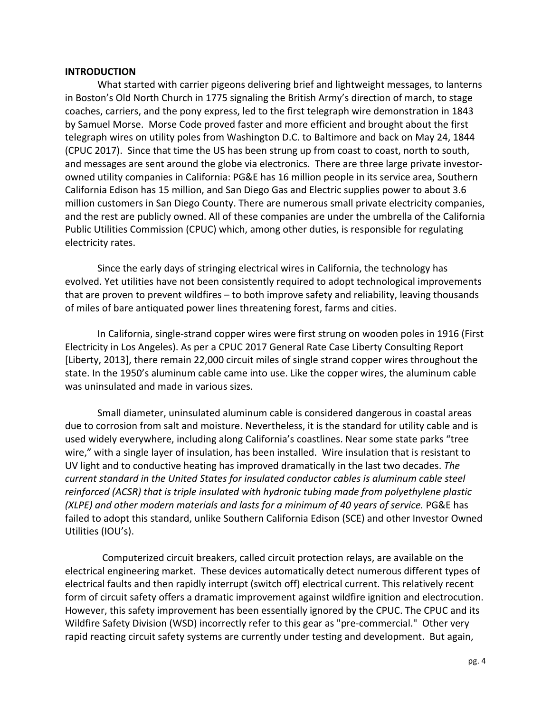#### **INTRODUCTION**

What started with carrier pigeons delivering brief and lightweight messages, to lanterns in Boston's Old North Church in 1775 signaling the British Army's direction of march, to stage coaches, carriers, and the pony express, led to the first telegraph wire demonstration in 1843 by Samuel Morse. Morse Code proved faster and more efficient and brought about the first telegraph wires on utility poles from Washington D.C. to Baltimore and back on May 24, 1844 (CPUC 2017). Since that time the US has been strung up from coast to coast, north to south, and messages are sent around the globe via electronics. There are three large private investorowned utility companies in California: PG&E has 16 million people in its service area, Southern California Edison has 15 million, and San Diego Gas and Electric supplies power to about 3.6 million customers in San Diego County. There are numerous small private electricity companies, and the rest are publicly owned. All of these companies are under the umbrella of the California Public Utilities Commission (CPUC) which, among other duties, is responsible for regulating electricity rates.

Since the early days of stringing electrical wires in California, the technology has evolved. Yet utilities have not been consistently required to adopt technological improvements that are proven to prevent wildfires – to both improve safety and reliability, leaving thousands of miles of bare antiquated power lines threatening forest, farms and cities.

In California, single-strand copper wires were first strung on wooden poles in 1916 (First Electricity in Los Angeles). As per a CPUC 2017 General Rate Case Liberty Consulting Report [Liberty, 2013], there remain 22,000 circuit miles of single strand copper wires throughout the state. In the 1950's aluminum cable came into use. Like the copper wires, the aluminum cable was uninsulated and made in various sizes.

Small diameter, uninsulated aluminum cable is considered dangerous in coastal areas due to corrosion from salt and moisture. Nevertheless, it is the standard for utility cable and is used widely everywhere, including along California's coastlines. Near some state parks "tree wire," with a single layer of insulation, has been installed. Wire insulation that is resistant to UV light and to conductive heating has improved dramatically in the last two decades. *The current standard in the United States for insulated conductor cables is aluminum cable steel* reinforced (ACSR) that is triple insulated with hydronic tubing made from polyethylene plastic *(XLPE)* and other modern materials and lasts for a minimum of 40 years of service. PG&E has failed to adopt this standard, unlike Southern California Edison (SCE) and other Investor Owned Utilities (IOU's).

Computerized circuit breakers, called circuit protection relays, are available on the electrical engineering market. These devices automatically detect numerous different types of electrical faults and then rapidly interrupt (switch off) electrical current. This relatively recent form of circuit safety offers a dramatic improvement against wildfire ignition and electrocution. However, this safety improvement has been essentially ignored by the CPUC. The CPUC and its Wildfire Safety Division (WSD) incorrectly refer to this gear as "pre-commercial." Other very rapid reacting circuit safety systems are currently under testing and development. But again,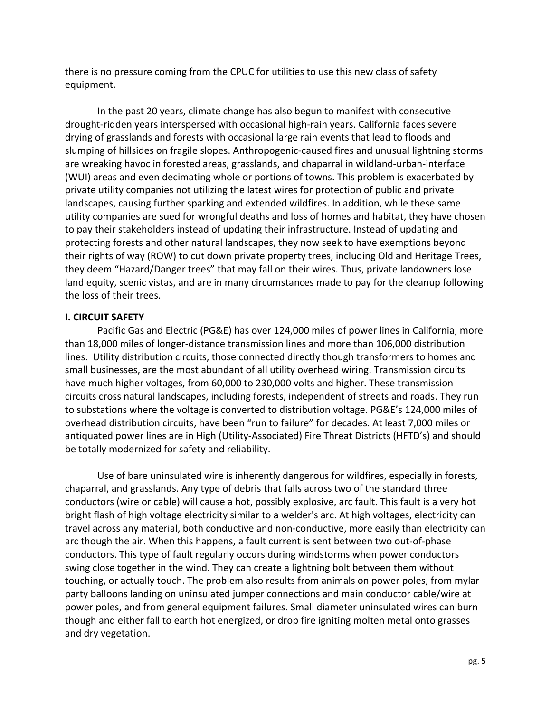there is no pressure coming from the CPUC for utilities to use this new class of safety equipment. 

In the past 20 years, climate change has also begun to manifest with consecutive drought-ridden years interspersed with occasional high-rain years. California faces severe drying of grasslands and forests with occasional large rain events that lead to floods and slumping of hillsides on fragile slopes. Anthropogenic-caused fires and unusual lightning storms are wreaking havoc in forested areas, grasslands, and chaparral in wildland-urban-interface (WUI) areas and even decimating whole or portions of towns. This problem is exacerbated by private utility companies not utilizing the latest wires for protection of public and private landscapes, causing further sparking and extended wildfires. In addition, while these same utility companies are sued for wrongful deaths and loss of homes and habitat, they have chosen to pay their stakeholders instead of updating their infrastructure. Instead of updating and protecting forests and other natural landscapes, they now seek to have exemptions beyond their rights of way (ROW) to cut down private property trees, including Old and Heritage Trees, they deem "Hazard/Danger trees" that may fall on their wires. Thus, private landowners lose land equity, scenic vistas, and are in many circumstances made to pay for the cleanup following the loss of their trees.

### **I. CIRCUIT SAFETY**

Pacific Gas and Electric (PG&E) has over 124,000 miles of power lines in California, more than 18,000 miles of longer-distance transmission lines and more than 106,000 distribution lines. Utility distribution circuits, those connected directly though transformers to homes and small businesses, are the most abundant of all utility overhead wiring. Transmission circuits have much higher voltages, from 60,000 to 230,000 volts and higher. These transmission circuits cross natural landscapes, including forests, independent of streets and roads. They run to substations where the voltage is converted to distribution voltage. PG&E's 124,000 miles of overhead distribution circuits, have been "run to failure" for decades. At least 7,000 miles or antiquated power lines are in High (Utility-Associated) Fire Threat Districts (HFTD's) and should be totally modernized for safety and reliability.

Use of bare uninsulated wire is inherently dangerous for wildfires, especially in forests, chaparral, and grasslands. Any type of debris that falls across two of the standard three conductors (wire or cable) will cause a hot, possibly explosive, arc fault. This fault is a very hot bright flash of high voltage electricity similar to a welder's arc. At high voltages, electricity can travel across any material, both conductive and non-conductive, more easily than electricity can arc though the air. When this happens, a fault current is sent between two out-of-phase conductors. This type of fault regularly occurs during windstorms when power conductors swing close together in the wind. They can create a lightning bolt between them without touching, or actually touch. The problem also results from animals on power poles, from mylar party balloons landing on uninsulated jumper connections and main conductor cable/wire at power poles, and from general equipment failures. Small diameter uninsulated wires can burn though and either fall to earth hot energized, or drop fire igniting molten metal onto grasses and dry vegetation.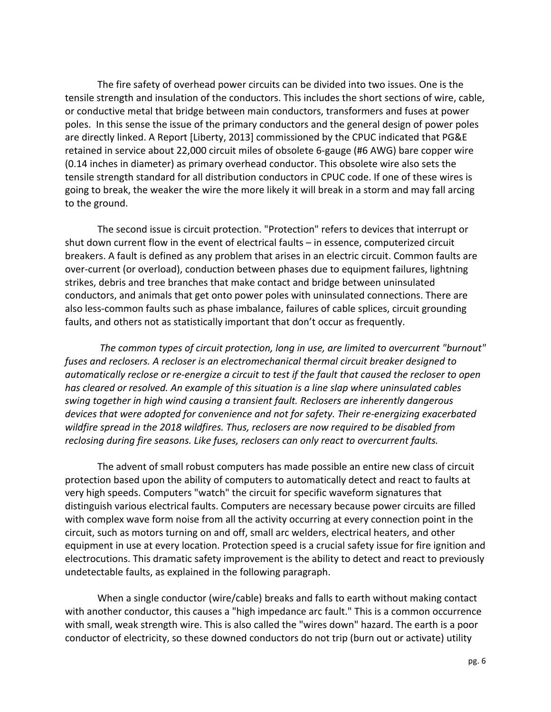The fire safety of overhead power circuits can be divided into two issues. One is the tensile strength and insulation of the conductors. This includes the short sections of wire, cable, or conductive metal that bridge between main conductors, transformers and fuses at power poles. In this sense the issue of the primary conductors and the general design of power poles are directly linked. A Report [Liberty, 2013] commissioned by the CPUC indicated that PG&E retained in service about 22,000 circuit miles of obsolete 6-gauge (#6 AWG) bare copper wire (0.14 inches in diameter) as primary overhead conductor. This obsolete wire also sets the tensile strength standard for all distribution conductors in CPUC code. If one of these wires is going to break, the weaker the wire the more likely it will break in a storm and may fall arcing to the ground.

The second issue is circuit protection. "Protection" refers to devices that interrupt or shut down current flow in the event of electrical faults – in essence, computerized circuit breakers. A fault is defined as any problem that arises in an electric circuit. Common faults are over-current (or overload), conduction between phases due to equipment failures, lightning strikes, debris and tree branches that make contact and bridge between uninsulated conductors, and animals that get onto power poles with uninsulated connections. There are also less-common faults such as phase imbalance, failures of cable splices, circuit grounding faults, and others not as statistically important that don't occur as frequently.

The common types of circuit protection, long in use, are limited to overcurrent "burnout" fuses and reclosers. A recloser is an electromechanical thermal circuit breaker designed to *automatically reclose or re-energize a circuit to test if the fault that caused the recloser to open* has cleared or resolved. An example of this situation is a line slap where uninsulated cables swing together in high wind causing a transient fault. Reclosers are inherently dangerous devices that were adopted for convenience and not for safety. Their re-energizing exacerbated wildfire spread in the 2018 wildfires. Thus, reclosers are now required to be disabled from reclosing during fire seasons. Like fuses, reclosers can only react to overcurrent faults.

The advent of small robust computers has made possible an entire new class of circuit protection based upon the ability of computers to automatically detect and react to faults at very high speeds. Computers "watch" the circuit for specific waveform signatures that distinguish various electrical faults. Computers are necessary because power circuits are filled with complex wave form noise from all the activity occurring at every connection point in the circuit, such as motors turning on and off, small arc welders, electrical heaters, and other equipment in use at every location. Protection speed is a crucial safety issue for fire ignition and electrocutions. This dramatic safety improvement is the ability to detect and react to previously undetectable faults, as explained in the following paragraph.

When a single conductor (wire/cable) breaks and falls to earth without making contact with another conductor, this causes a "high impedance arc fault." This is a common occurrence with small, weak strength wire. This is also called the "wires down" hazard. The earth is a poor conductor of electricity, so these downed conductors do not trip (burn out or activate) utility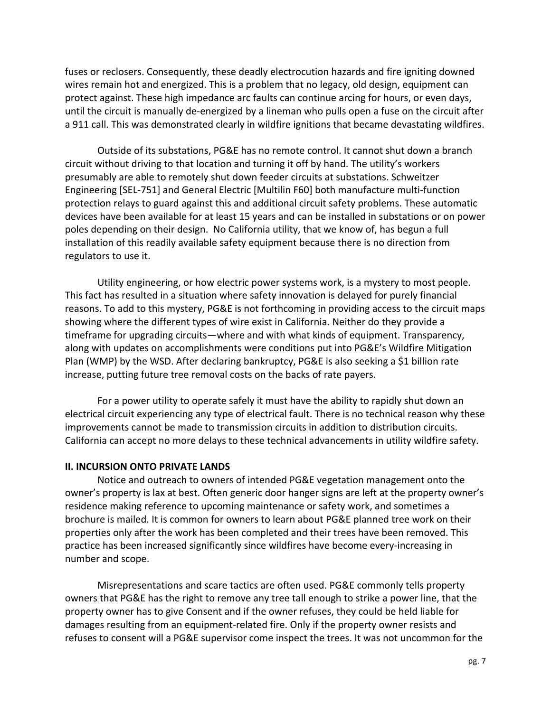fuses or reclosers. Consequently, these deadly electrocution hazards and fire igniting downed wires remain hot and energized. This is a problem that no legacy, old design, equipment can protect against. These high impedance arc faults can continue arcing for hours, or even days, until the circuit is manually de-energized by a lineman who pulls open a fuse on the circuit after a 911 call. This was demonstrated clearly in wildfire ignitions that became devastating wildfires.

Outside of its substations, PG&E has no remote control. It cannot shut down a branch circuit without driving to that location and turning it off by hand. The utility's workers presumably are able to remotely shut down feeder circuits at substations. Schweitzer Engineering [SEL-751] and General Electric [Multilin F60] both manufacture multi-function protection relays to guard against this and additional circuit safety problems. These automatic devices have been available for at least 15 years and can be installed in substations or on power poles depending on their design. No California utility, that we know of, has begun a full installation of this readily available safety equipment because there is no direction from regulators to use it.

Utility engineering, or how electric power systems work, is a mystery to most people. This fact has resulted in a situation where safety innovation is delayed for purely financial reasons. To add to this mystery, PG&E is not forthcoming in providing access to the circuit maps showing where the different types of wire exist in California. Neither do they provide a timeframe for upgrading circuits—where and with what kinds of equipment. Transparency, along with updates on accomplishments were conditions put into PG&E's Wildfire Mitigation Plan (WMP) by the WSD. After declaring bankruptcy, PG&E is also seeking a \$1 billion rate increase, putting future tree removal costs on the backs of rate payers.

For a power utility to operate safely it must have the ability to rapidly shut down an electrical circuit experiencing any type of electrical fault. There is no technical reason why these improvements cannot be made to transmission circuits in addition to distribution circuits. California can accept no more delays to these technical advancements in utility wildfire safety.

#### **II. INCURSION ONTO PRIVATE LANDS**

Notice and outreach to owners of intended PG&E vegetation management onto the owner's property is lax at best. Often generic door hanger signs are left at the property owner's residence making reference to upcoming maintenance or safety work, and sometimes a brochure is mailed. It is common for owners to learn about PG&E planned tree work on their properties only after the work has been completed and their trees have been removed. This practice has been increased significantly since wildfires have become every-increasing in number and scope.

Misrepresentations and scare tactics are often used. PG&E commonly tells property owners that PG&E has the right to remove any tree tall enough to strike a power line, that the property owner has to give Consent and if the owner refuses, they could be held liable for damages resulting from an equipment-related fire. Only if the property owner resists and refuses to consent will a PG&E supervisor come inspect the trees. It was not uncommon for the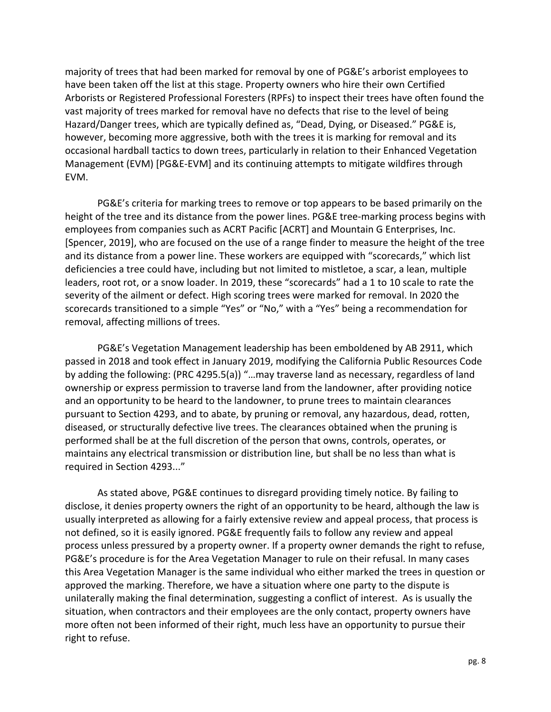majority of trees that had been marked for removal by one of PG&E's arborist employees to have been taken off the list at this stage. Property owners who hire their own Certified Arborists or Registered Professional Foresters (RPFs) to inspect their trees have often found the vast majority of trees marked for removal have no defects that rise to the level of being Hazard/Danger trees, which are typically defined as, "Dead, Dying, or Diseased." PG&E is, however, becoming more aggressive, both with the trees it is marking for removal and its occasional hardball tactics to down trees, particularly in relation to their Enhanced Vegetation Management (EVM) [PG&E-EVM] and its continuing attempts to mitigate wildfires through EVM.

PG&E's criteria for marking trees to remove or top appears to be based primarily on the height of the tree and its distance from the power lines. PG&E tree-marking process begins with employees from companies such as ACRT Pacific [ACRT] and Mountain G Enterprises, Inc. [Spencer, 2019], who are focused on the use of a range finder to measure the height of the tree and its distance from a power line. These workers are equipped with "scorecards," which list deficiencies a tree could have, including but not limited to mistletoe, a scar, a lean, multiple leaders, root rot, or a snow loader. In 2019, these "scorecards" had a 1 to 10 scale to rate the severity of the ailment or defect. High scoring trees were marked for removal. In 2020 the scorecards transitioned to a simple "Yes" or "No," with a "Yes" being a recommendation for removal, affecting millions of trees.

PG&E's Vegetation Management leadership has been emboldened by AB 2911, which passed in 2018 and took effect in January 2019, modifying the California Public Resources Code by adding the following: (PRC 4295.5(a)) "...may traverse land as necessary, regardless of land ownership or express permission to traverse land from the landowner, after providing notice and an opportunity to be heard to the landowner, to prune trees to maintain clearances pursuant to Section 4293, and to abate, by pruning or removal, any hazardous, dead, rotten, diseased, or structurally defective live trees. The clearances obtained when the pruning is performed shall be at the full discretion of the person that owns, controls, operates, or maintains any electrical transmission or distribution line, but shall be no less than what is required in Section 4293..."

As stated above, PG&E continues to disregard providing timely notice. By failing to disclose, it denies property owners the right of an opportunity to be heard, although the law is usually interpreted as allowing for a fairly extensive review and appeal process, that process is not defined, so it is easily ignored. PG&E frequently fails to follow any review and appeal process unless pressured by a property owner. If a property owner demands the right to refuse, PG&E's procedure is for the Area Vegetation Manager to rule on their refusal. In many cases this Area Vegetation Manager is the same individual who either marked the trees in question or approved the marking. Therefore, we have a situation where one party to the dispute is unilaterally making the final determination, suggesting a conflict of interest. As is usually the situation, when contractors and their employees are the only contact, property owners have more often not been informed of their right, much less have an opportunity to pursue their right to refuse.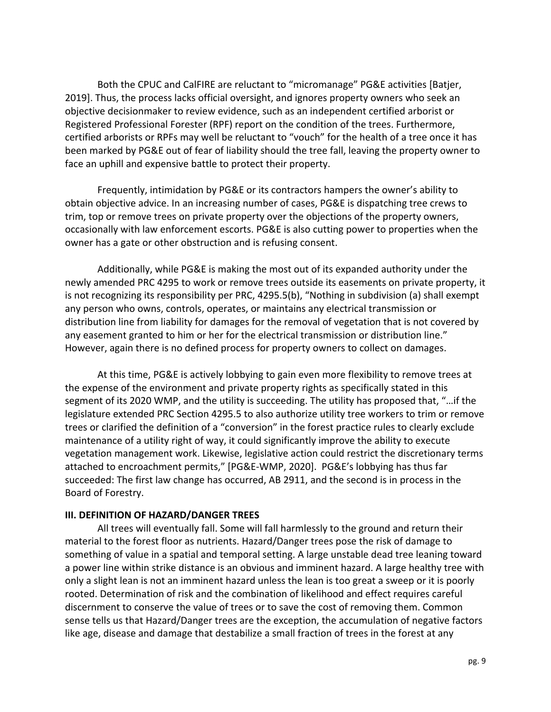Both the CPUC and CalFIRE are reluctant to "micromanage" PG&E activities [Batjer, 2019]. Thus, the process lacks official oversight, and ignores property owners who seek an objective decisionmaker to review evidence, such as an independent certified arborist or Registered Professional Forester (RPF) report on the condition of the trees. Furthermore, certified arborists or RPFs may well be reluctant to "vouch" for the health of a tree once it has been marked by PG&E out of fear of liability should the tree fall, leaving the property owner to face an uphill and expensive battle to protect their property.

Frequently, intimidation by PG&E or its contractors hampers the owner's ability to obtain objective advice. In an increasing number of cases, PG&E is dispatching tree crews to trim, top or remove trees on private property over the objections of the property owners, occasionally with law enforcement escorts. PG&E is also cutting power to properties when the owner has a gate or other obstruction and is refusing consent.

Additionally, while PG&E is making the most out of its expanded authority under the newly amended PRC 4295 to work or remove trees outside its easements on private property, it is not recognizing its responsibility per PRC,  $4295.5(b)$ , "Nothing in subdivision (a) shall exempt any person who owns, controls, operates, or maintains any electrical transmission or distribution line from liability for damages for the removal of vegetation that is not covered by any easement granted to him or her for the electrical transmission or distribution line." However, again there is no defined process for property owners to collect on damages.

At this time, PG&E is actively lobbying to gain even more flexibility to remove trees at the expense of the environment and private property rights as specifically stated in this segment of its 2020 WMP, and the utility is succeeding. The utility has proposed that, "... if the legislature extended PRC Section 4295.5 to also authorize utility tree workers to trim or remove trees or clarified the definition of a "conversion" in the forest practice rules to clearly exclude maintenance of a utility right of way, it could significantly improve the ability to execute vegetation management work. Likewise, legislative action could restrict the discretionary terms attached to encroachment permits," [PG&E-WMP, 2020]. PG&E's lobbying has thus far succeeded: The first law change has occurred, AB 2911, and the second is in process in the Board of Forestry.

#### **III. DEFINITION OF HAZARD/DANGER TREES**

All trees will eventually fall. Some will fall harmlessly to the ground and return their material to the forest floor as nutrients. Hazard/Danger trees pose the risk of damage to something of value in a spatial and temporal setting. A large unstable dead tree leaning toward a power line within strike distance is an obvious and imminent hazard. A large healthy tree with only a slight lean is not an imminent hazard unless the lean is too great a sweep or it is poorly rooted. Determination of risk and the combination of likelihood and effect requires careful discernment to conserve the value of trees or to save the cost of removing them. Common sense tells us that Hazard/Danger trees are the exception, the accumulation of negative factors like age, disease and damage that destabilize a small fraction of trees in the forest at any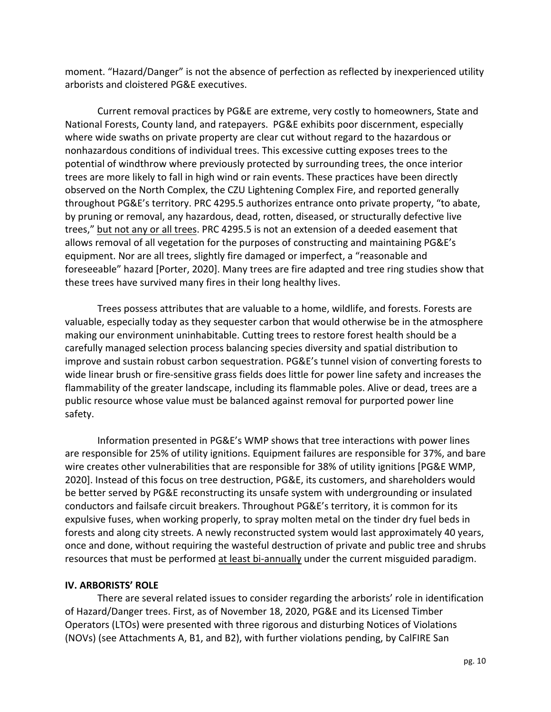moment. "Hazard/Danger" is not the absence of perfection as reflected by inexperienced utility arborists and cloistered PG&E executives.

Current removal practices by PG&E are extreme, very costly to homeowners, State and National Forests, County land, and ratepayers. PG&E exhibits poor discernment, especially where wide swaths on private property are clear cut without regard to the hazardous or nonhazardous conditions of individual trees. This excessive cutting exposes trees to the potential of windthrow where previously protected by surrounding trees, the once interior trees are more likely to fall in high wind or rain events. These practices have been directly observed on the North Complex, the CZU Lightening Complex Fire, and reported generally throughout PG&E's territory. PRC 4295.5 authorizes entrance onto private property, "to abate, by pruning or removal, any hazardous, dead, rotten, diseased, or structurally defective live trees," but not any or all trees. PRC 4295.5 is not an extension of a deeded easement that allows removal of all vegetation for the purposes of constructing and maintaining PG&E's equipment. Nor are all trees, slightly fire damaged or imperfect, a "reasonable and foreseeable" hazard [Porter, 2020]. Many trees are fire adapted and tree ring studies show that these trees have survived many fires in their long healthy lives.

Trees possess attributes that are valuable to a home, wildlife, and forests. Forests are valuable, especially today as they sequester carbon that would otherwise be in the atmosphere making our environment uninhabitable. Cutting trees to restore forest health should be a carefully managed selection process balancing species diversity and spatial distribution to improve and sustain robust carbon sequestration. PG&E's tunnel vision of converting forests to wide linear brush or fire-sensitive grass fields does little for power line safety and increases the flammability of the greater landscape, including its flammable poles. Alive or dead, trees are a public resource whose value must be balanced against removal for purported power line safety.

Information presented in PG&E's WMP shows that tree interactions with power lines are responsible for 25% of utility ignitions. Equipment failures are responsible for 37%, and bare wire creates other vulnerabilities that are responsible for 38% of utility ignitions [PG&E WMP, 2020]. Instead of this focus on tree destruction, PG&E, its customers, and shareholders would be better served by PG&E reconstructing its unsafe system with undergrounding or insulated conductors and failsafe circuit breakers. Throughout PG&E's territory, it is common for its expulsive fuses, when working properly, to spray molten metal on the tinder dry fuel beds in forests and along city streets. A newly reconstructed system would last approximately 40 years, once and done, without requiring the wasteful destruction of private and public tree and shrubs resources that must be performed at least bi-annually under the current misguided paradigm.

## **IV. ARBORISTS' ROLE**

There are several related issues to consider regarding the arborists' role in identification of Hazard/Danger trees. First, as of November 18, 2020, PG&E and its Licensed Timber Operators (LTOs) were presented with three rigorous and disturbing Notices of Violations (NOVs) (see Attachments A, B1, and B2), with further violations pending, by CalFIRE San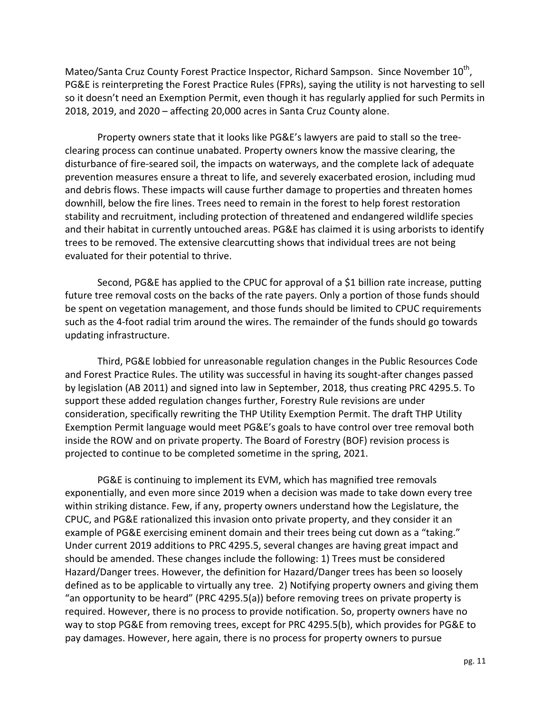Mateo/Santa Cruz County Forest Practice Inspector, Richard Sampson. Since November 10<sup>th</sup>, PG&E is reinterpreting the Forest Practice Rules (FPRs), saying the utility is not harvesting to sell so it doesn't need an Exemption Permit, even though it has regularly applied for such Permits in 2018, 2019, and  $2020 -$  affecting  $20,000$  acres in Santa Cruz County alone.

Property owners state that it looks like PG&E's lawyers are paid to stall so the treeclearing process can continue unabated. Property owners know the massive clearing, the disturbance of fire-seared soil, the impacts on waterways, and the complete lack of adequate prevention measures ensure a threat to life, and severely exacerbated erosion, including mud and debris flows. These impacts will cause further damage to properties and threaten homes downhill, below the fire lines. Trees need to remain in the forest to help forest restoration stability and recruitment, including protection of threatened and endangered wildlife species and their habitat in currently untouched areas. PG&E has claimed it is using arborists to identify trees to be removed. The extensive clearcutting shows that individual trees are not being evaluated for their potential to thrive.

Second, PG&E has applied to the CPUC for approval of a \$1 billion rate increase, putting future tree removal costs on the backs of the rate payers. Only a portion of those funds should be spent on vegetation management, and those funds should be limited to CPUC requirements such as the 4-foot radial trim around the wires. The remainder of the funds should go towards updating infrastructure.

Third, PG&E lobbied for unreasonable regulation changes in the Public Resources Code and Forest Practice Rules. The utility was successful in having its sought-after changes passed by legislation (AB 2011) and signed into law in September, 2018, thus creating PRC 4295.5. To support these added regulation changes further, Forestry Rule revisions are under consideration, specifically rewriting the THP Utility Exemption Permit. The draft THP Utility Exemption Permit language would meet PG&E's goals to have control over tree removal both inside the ROW and on private property. The Board of Forestry (BOF) revision process is projected to continue to be completed sometime in the spring, 2021.

PG&E is continuing to implement its EVM, which has magnified tree removals exponentially, and even more since 2019 when a decision was made to take down every tree within striking distance. Few, if any, property owners understand how the Legislature, the CPUC, and PG&E rationalized this invasion onto private property, and they consider it an example of PG&E exercising eminent domain and their trees being cut down as a "taking." Under current 2019 additions to PRC 4295.5, several changes are having great impact and should be amended. These changes include the following: 1) Trees must be considered Hazard/Danger trees. However, the definition for Hazard/Danger trees has been so loosely defined as to be applicable to virtually any tree. 2) Notifying property owners and giving them "an opportunity to be heard" (PRC 4295.5(a)) before removing trees on private property is required. However, there is no process to provide notification. So, property owners have no way to stop PG&E from removing trees, except for PRC 4295.5(b), which provides for PG&E to pay damages. However, here again, there is no process for property owners to pursue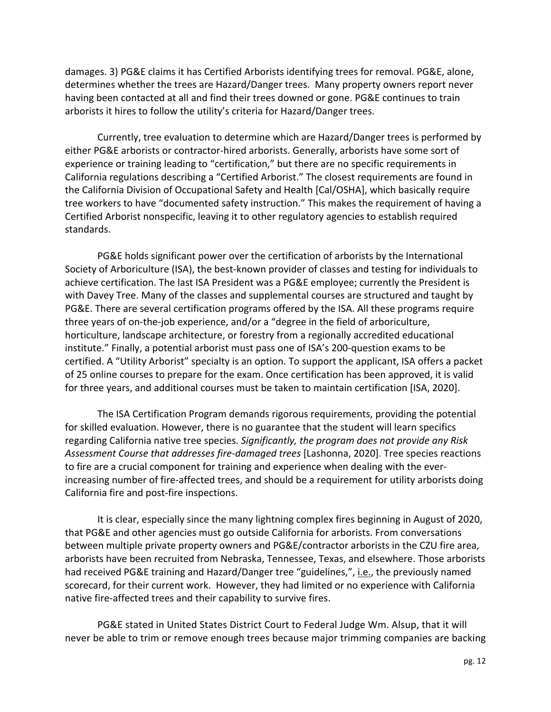damages. 3) PG&E claims it has Certified Arborists identifying trees for removal. PG&E, alone, determines whether the trees are Hazard/Danger trees. Many property owners report never having been contacted at all and find their trees downed or gone. PG&E continues to train arborists it hires to follow the utility's criteria for Hazard/Danger trees.

Currently, tree evaluation to determine which are Hazard/Danger trees is performed by either PG&E arborists or contractor-hired arborists. Generally, arborists have some sort of experience or training leading to "certification," but there are no specific requirements in California regulations describing a "Certified Arborist." The closest requirements are found in the California Division of Occupational Safety and Health [Cal/OSHA], which basically require tree workers to have "documented safety instruction." This makes the requirement of having a Certified Arborist nonspecific, leaving it to other regulatory agencies to establish required standards. 

PG&E holds significant power over the certification of arborists by the International Society of Arboriculture (ISA), the best-known provider of classes and testing for individuals to achieve certification. The last ISA President was a PG&E employee; currently the President is with Davey Tree. Many of the classes and supplemental courses are structured and taught by PG&E. There are several certification programs offered by the ISA. All these programs require three years of on-the-job experience, and/or a "degree in the field of arboriculture, horticulture, landscape architecture, or forestry from a regionally accredited educational institute." Finally, a potential arborist must pass one of ISA's 200-question exams to be certified. A "Utility Arborist" specialty is an option. To support the applicant, ISA offers a packet of 25 online courses to prepare for the exam. Once certification has been approved, it is valid for three years, and additional courses must be taken to maintain certification [ISA, 2020].

The ISA Certification Program demands rigorous requirements, providing the potential for skilled evaluation. However, there is no guarantee that the student will learn specifics regarding California native tree species. Significantly, the program does not provide any Risk Assessment Course that addresses fire-damaged trees [Lashonna, 2020]. Tree species reactions to fire are a crucial component for training and experience when dealing with the everincreasing number of fire-affected trees, and should be a requirement for utility arborists doing California fire and post-fire inspections.

It is clear, especially since the many lightning complex fires beginning in August of 2020, that PG&E and other agencies must go outside California for arborists. From conversations between multiple private property owners and PG&E/contractor arborists in the CZU fire area, arborists have been recruited from Nebraska, Tennessee, Texas, and elsewhere. Those arborists had received PG&E training and Hazard/Danger tree "guidelines,", i.e., the previously named scorecard, for their current work. However, they had limited or no experience with California native fire-affected trees and their capability to survive fires.

PG&E stated in United States District Court to Federal Judge Wm. Alsup, that it will never be able to trim or remove enough trees because major trimming companies are backing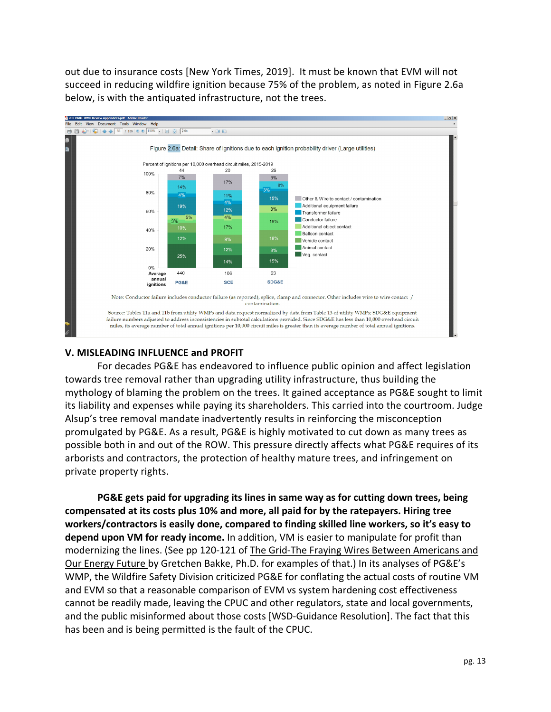out due to insurance costs [New York Times, 2019]. It must be known that EVM will not succeed in reducing wildfire ignition because 75% of the problem, as noted in Figure 2.6a below, is with the antiquated infrastructure, not the trees.



## **V. MISLEADING INFLUENCE and PROFIT**

For decades PG&E has endeavored to influence public opinion and affect legislation towards tree removal rather than upgrading utility infrastructure, thus building the mythology of blaming the problem on the trees. It gained acceptance as PG&E sought to limit its liability and expenses while paying its shareholders. This carried into the courtroom. Judge Alsup's tree removal mandate inadvertently results in reinforcing the misconception promulgated by PG&E. As a result, PG&E is highly motivated to cut down as many trees as possible both in and out of the ROW. This pressure directly affects what PG&E requires of its arborists and contractors, the protection of healthy mature trees, and infringement on private property rights.

**PG&E** gets paid for upgrading its lines in same way as for cutting down trees, being compensated at its costs plus 10% and more, all paid for by the ratepayers. Hiring tree workers/contractors is easily done, compared to finding skilled line workers, so it's easy to **depend upon VM for ready income.** In addition, VM is easier to manipulate for profit than modernizing the lines. (See pp 120-121 of The Grid-The Fraying Wires Between Americans and Our Energy Future by Gretchen Bakke, Ph.D. for examples of that.) In its analyses of PG&E's WMP, the Wildfire Safety Division criticized PG&E for conflating the actual costs of routine VM and EVM so that a reasonable comparison of EVM vs system hardening cost effectiveness cannot be readily made, leaving the CPUC and other regulators, state and local governments, and the public misinformed about those costs [WSD-Guidance Resolution]. The fact that this has been and is being permitted is the fault of the CPUC.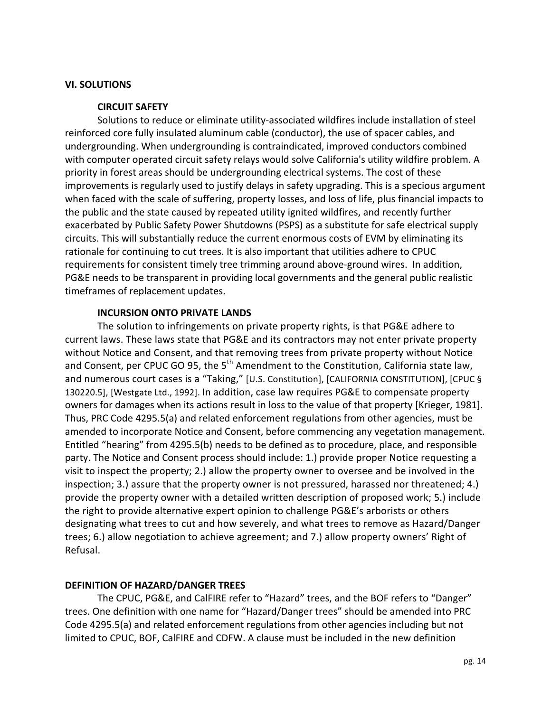### **VI. SOLUTIONS**

### **CIRCUIT SAFETY**

Solutions to reduce or eliminate utility-associated wildfires include installation of steel reinforced core fully insulated aluminum cable (conductor), the use of spacer cables, and undergrounding. When undergrounding is contraindicated, improved conductors combined with computer operated circuit safety relays would solve California's utility wildfire problem. A priority in forest areas should be undergrounding electrical systems. The cost of these improvements is regularly used to justify delays in safety upgrading. This is a specious argument when faced with the scale of suffering, property losses, and loss of life, plus financial impacts to the public and the state caused by repeated utility ignited wildfires, and recently further exacerbated by Public Safety Power Shutdowns (PSPS) as a substitute for safe electrical supply circuits. This will substantially reduce the current enormous costs of EVM by eliminating its rationale for continuing to cut trees. It is also important that utilities adhere to CPUC requirements for consistent timely tree trimming around above-ground wires. In addition, PG&E needs to be transparent in providing local governments and the general public realistic timeframes of replacement updates.

## **INCURSION ONTO PRIVATE LANDS**

The solution to infringements on private property rights, is that PG&E adhere to current laws. These laws state that PG&E and its contractors may not enter private property without Notice and Consent, and that removing trees from private property without Notice and Consent, per CPUC GO 95, the  $5<sup>th</sup>$  Amendment to the Constitution, California state law, and numerous court cases is a "Taking," [U.S. Constitution], [CALIFORNIA CONSTITUTION], [CPUC § 130220.5], [Westgate Ltd., 1992]. In addition, case law requires PG&E to compensate property owners for damages when its actions result in loss to the value of that property [Krieger, 1981]. Thus, PRC Code 4295.5(a) and related enforcement regulations from other agencies, must be amended to incorporate Notice and Consent, before commencing any vegetation management. Entitled "hearing" from 4295.5(b) needs to be defined as to procedure, place, and responsible party. The Notice and Consent process should include: 1.) provide proper Notice requesting a visit to inspect the property; 2.) allow the property owner to oversee and be involved in the inspection; 3.) assure that the property owner is not pressured, harassed nor threatened; 4.) provide the property owner with a detailed written description of proposed work; 5.) include the right to provide alternative expert opinion to challenge PG&E's arborists or others designating what trees to cut and how severely, and what trees to remove as Hazard/Danger trees; 6.) allow negotiation to achieve agreement; and 7.) allow property owners' Right of Refusal.

## **DEFINITION OF HAZARD/DANGER TREES**

The CPUC, PG&E, and CalFIRE refer to "Hazard" trees, and the BOF refers to "Danger" trees. One definition with one name for "Hazard/Danger trees" should be amended into PRC Code 4295.5(a) and related enforcement regulations from other agencies including but not limited to CPUC, BOF, CalFIRE and CDFW. A clause must be included in the new definition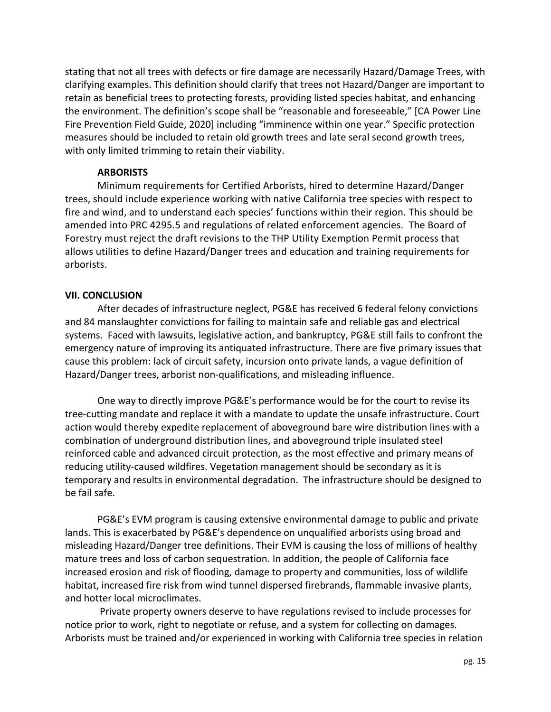stating that not all trees with defects or fire damage are necessarily Hazard/Damage Trees, with clarifying examples. This definition should clarify that trees not Hazard/Danger are important to retain as beneficial trees to protecting forests, providing listed species habitat, and enhancing the environment. The definition's scope shall be "reasonable and foreseeable," [CA Power Line Fire Prevention Field Guide, 2020] including "imminence within one year." Specific protection measures should be included to retain old growth trees and late seral second growth trees, with only limited trimming to retain their viability.

## **ARBORISTS**

Minimum requirements for Certified Arborists, hired to determine Hazard/Danger trees, should include experience working with native California tree species with respect to fire and wind, and to understand each species' functions within their region. This should be amended into PRC 4295.5 and regulations of related enforcement agencies. The Board of Forestry must reject the draft revisions to the THP Utility Exemption Permit process that allows utilities to define Hazard/Danger trees and education and training requirements for arborists. 

## **VII. CONCLUSION**

After decades of infrastructure neglect, PG&E has received 6 federal felony convictions and 84 manslaughter convictions for failing to maintain safe and reliable gas and electrical systems. Faced with lawsuits, legislative action, and bankruptcy, PG&E still fails to confront the emergency nature of improving its antiquated infrastructure. There are five primary issues that cause this problem: lack of circuit safety, incursion onto private lands, a vague definition of Hazard/Danger trees, arborist non-qualifications, and misleading influence.

One way to directly improve PG&E's performance would be for the court to revise its tree-cutting mandate and replace it with a mandate to update the unsafe infrastructure. Court action would thereby expedite replacement of aboveground bare wire distribution lines with a combination of underground distribution lines, and aboveground triple insulated steel reinforced cable and advanced circuit protection, as the most effective and primary means of reducing utility-caused wildfires. Vegetation management should be secondary as it is temporary and results in environmental degradation. The infrastructure should be designed to be fail safe.

PG&E's EVM program is causing extensive environmental damage to public and private lands. This is exacerbated by PG&E's dependence on unqualified arborists using broad and misleading Hazard/Danger tree definitions. Their EVM is causing the loss of millions of healthy mature trees and loss of carbon sequestration. In addition, the people of California face increased erosion and risk of flooding, damage to property and communities, loss of wildlife habitat, increased fire risk from wind tunnel dispersed firebrands, flammable invasive plants, and hotter local microclimates.

Private property owners deserve to have regulations revised to include processes for notice prior to work, right to negotiate or refuse, and a system for collecting on damages. Arborists must be trained and/or experienced in working with California tree species in relation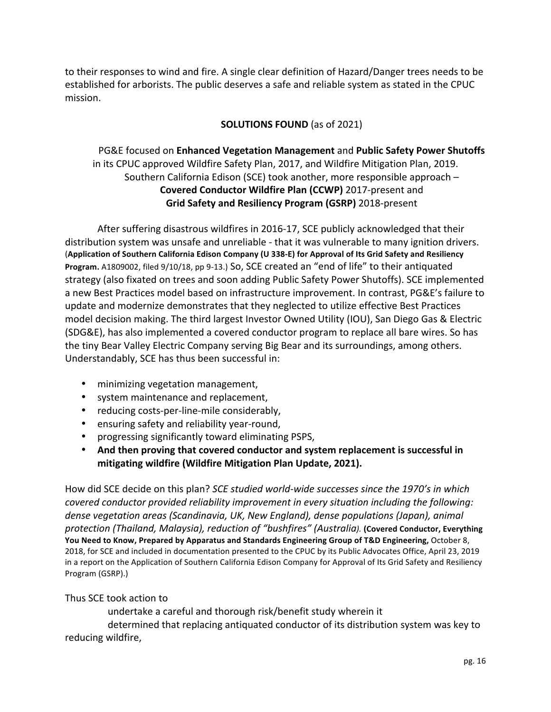to their responses to wind and fire. A single clear definition of Hazard/Danger trees needs to be established for arborists. The public deserves a safe and reliable system as stated in the CPUC mission.

## **SOLUTIONS FOUND** (as of 2021)

## PG&E focused on **Enhanced Vegetation Management** and Public Safety Power Shutoffs in its CPUC approved Wildfire Safety Plan, 2017, and Wildfire Mitigation Plan, 2019. Southern California Edison (SCE) took another, more responsible approach  $-$ **Covered Conductor Wildfire Plan (CCWP)** 2017-present and **Grid Safety and Resiliency Program (GSRP)** 2018-present

After suffering disastrous wildfires in 2016-17, SCE publicly acknowledged that their distribution system was unsafe and unreliable - that it was vulnerable to many ignition drivers. (Application of Southern California Edison Company (U 338-E) for Approval of Its Grid Safety and Resiliency Program. A1809002, filed 9/10/18, pp 9-13.) So, SCE created an "end of life" to their antiquated strategy (also fixated on trees and soon adding Public Safety Power Shutoffs). SCE implemented a new Best Practices model based on infrastructure improvement. In contrast, PG&E's failure to update and modernize demonstrates that they neglected to utilize effective Best Practices model decision making. The third largest Investor Owned Utility (IOU), San Diego Gas & Electric (SDG&E), has also implemented a covered conductor program to replace all bare wires. So has the tiny Bear Valley Electric Company serving Big Bear and its surroundings, among others. Understandably, SCE has thus been successful in:

- minimizing vegetation management,
- system maintenance and replacement,
- reducing costs-per-line-mile considerably,
- ensuring safety and reliability year-round,
- progressing significantly toward eliminating PSPS,
- And then proving that covered conductor and system replacement is successful in mitigating wildfire (Wildfire Mitigation Plan Update, 2021).

How did SCE decide on this plan? *SCE studied world-wide successes since the 1970's in which covered conductor provided reliability improvement in every situation including the following: dense vegetation areas (Scandinavia, UK, New England), dense populations (Japan), animal protection (Thailand, Malaysia), reduction of "bushfires" (Australia).* **(Covered Conductor, Everything**  You Need to Know, Prepared by Apparatus and Standards Engineering Group of T&D Engineering, October 8, 2018, for SCE and included in documentation presented to the CPUC by its Public Advocates Office, April 23, 2019 in a report on the Application of Southern California Edison Company for Approval of Its Grid Safety and Resiliency Program (GSRP).)

## Thus SCE took action to

undertake a careful and thorough risk/benefit study wherein it

determined that replacing antiquated conductor of its distribution system was key to reducing wildfire,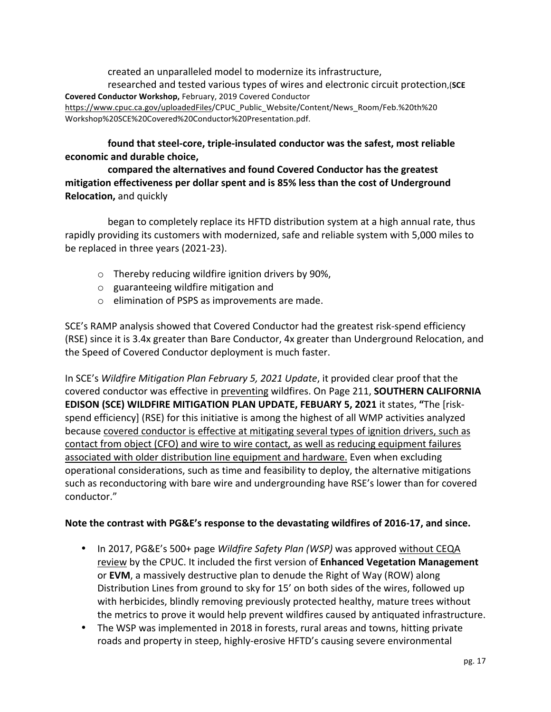created an unparalleled model to modernize its infrastructure, researched and tested various types of wires and electronic circuit protection,(SCE **Covered Conductor Workshop, February, 2019 Covered Conductor** https://www.cpuc.ca.gov/uploadedFiles/CPUC\_Public\_Website/Content/News\_Room/Feb.%20th%20 Workshop%20SCE%20Covered%20Conductor%20Presentation.pdf.

## found that steel-core, triple-insulated conductor was the safest, most reliable **economic and durable choice,**

compared the alternatives and found Covered Conductor has the greatest mitigation effectiveness per dollar spent and is 85% less than the cost of Underground **Relocation, and quickly** 

began to completely replace its HFTD distribution system at a high annual rate, thus rapidly providing its customers with modernized, safe and reliable system with 5,000 miles to be replaced in three years (2021-23).

- $\circ$  Thereby reducing wildfire ignition drivers by 90%,
- $\circ$  guaranteeing wildfire mitigation and
- $\circ$  elimination of PSPS as improvements are made.

SCE's RAMP analysis showed that Covered Conductor had the greatest risk-spend efficiency (RSE) since it is 3.4x greater than Bare Conductor, 4x greater than Underground Relocation, and the Speed of Covered Conductor deployment is much faster.

In SCE's *Wildfire Mitigation Plan February 5, 2021 Update*, it provided clear proof that the covered conductor was effective in preventing wildfires. On Page 211, **SOUTHERN CALIFORNIA EDISON (SCE) WILDFIRE MITIGATION PLAN UPDATE, FEBUARY 5, 2021 it states, "The [risk**spend efficiency] (RSE) for this initiative is among the highest of all WMP activities analyzed because covered conductor is effective at mitigating several types of ignition drivers, such as contact from object (CFO) and wire to wire contact, as well as reducing equipment failures associated with older distribution line equipment and hardware. Even when excluding operational considerations, such as time and feasibility to deploy, the alternative mitigations such as reconductoring with bare wire and undergrounding have RSE's lower than for covered conductor."

## Note the contrast with PG&E's response to the devastating wildfires of 2016-17, and since.

- In 2017, PG&E's 500+ page *Wildfire Safety Plan (WSP)* was approved without CEQA review by the CPUC. It included the first version of **Enhanced Vegetation Management** or **EVM**, a massively destructive plan to denude the Right of Way (ROW) along Distribution Lines from ground to sky for 15' on both sides of the wires, followed up with herbicides, blindly removing previously protected healthy, mature trees without the metrics to prove it would help prevent wildfires caused by antiquated infrastructure.
- The WSP was implemented in 2018 in forests, rural areas and towns, hitting private roads and property in steep, highly-erosive HFTD's causing severe environmental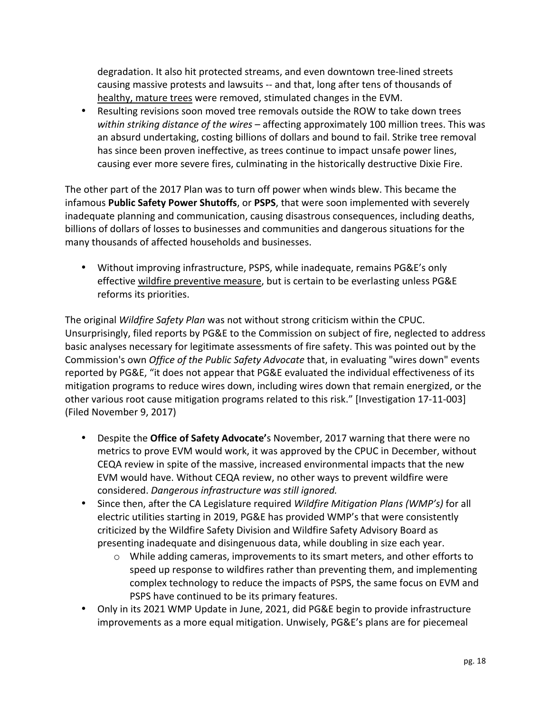degradation. It also hit protected streams, and even downtown tree-lined streets causing massive protests and lawsuits -- and that, long after tens of thousands of healthy, mature trees were removed, stimulated changes in the EVM.

• Resulting revisions soon moved tree removals outside the ROW to take down trees within striking distance of the wires – affecting approximately 100 million trees. This was an absurd undertaking, costing billions of dollars and bound to fail. Strike tree removal has since been proven ineffective, as trees continue to impact unsafe power lines, causing ever more severe fires, culminating in the historically destructive Dixie Fire.

The other part of the 2017 Plan was to turn off power when winds blew. This became the infamous **Public Safety Power Shutoffs**, or PSPS, that were soon implemented with severely inadequate planning and communication, causing disastrous consequences, including deaths, billions of dollars of losses to businesses and communities and dangerous situations for the many thousands of affected households and businesses.

• Without improving infrastructure, PSPS, while inadequate, remains PG&E's only effective wildfire preventive measure, but is certain to be everlasting unless PG&E reforms its priorities.

The original *Wildfire Safety Plan* was not without strong criticism within the CPUC. Unsurprisingly, filed reports by PG&E to the Commission on subject of fire, neglected to address basic analyses necessary for legitimate assessments of fire safety. This was pointed out by the Commission's own *Office of the Public Safety Advocate* that, in evaluating "wires down" events reported by PG&E, "it does not appear that PG&E evaluated the individual effectiveness of its mitigation programs to reduce wires down, including wires down that remain energized, or the other various root cause mitigation programs related to this risk." [Investigation 17-11-003] (Filed November 9, 2017) 

- Despite the **Office of Safety Advocate'**s November, 2017 warning that there were no metrics to prove EVM would work, it was approved by the CPUC in December, without CEQA review in spite of the massive, increased environmental impacts that the new EVM would have. Without CEQA review, no other ways to prevent wildfire were considered. *Dangerous infrastructure was still ignored.*
- Since then, after the CA Legislature required *Wildfire Mitigation Plans (WMP's)* for all electric utilities starting in 2019, PG&E has provided WMP's that were consistently criticized by the Wildfire Safety Division and Wildfire Safety Advisory Board as presenting inadequate and disingenuous data, while doubling in size each year.
	- $\circ$  While adding cameras, improvements to its smart meters, and other efforts to speed up response to wildfires rather than preventing them, and implementing complex technology to reduce the impacts of PSPS, the same focus on EVM and PSPS have continued to be its primary features.
- Only in its 2021 WMP Update in June, 2021, did PG&E begin to provide infrastructure improvements as a more equal mitigation. Unwisely, PG&E's plans are for piecemeal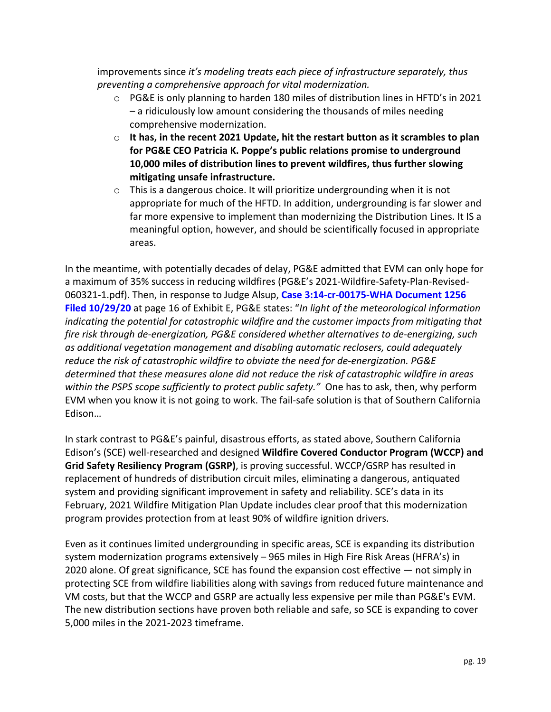improvements since *it's modeling treats each piece of infrastructure separately, thus* preventing a comprehensive approach for vital modernization.

- $\circ$  PG&E is only planning to harden 180 miles of distribution lines in HFTD's in 2021  $-$  a ridiculously low amount considering the thousands of miles needing comprehensive modernization.
- $\circ$  It has, in the recent 2021 Update, hit the restart button as it scrambles to plan for PG&E CEO Patricia K. Poppe's public relations promise to underground **10,000** miles of distribution lines to prevent wildfires, thus further slowing **mitigating unsafe infrastructure.**
- $\circ$  This is a dangerous choice. It will prioritize undergrounding when it is not appropriate for much of the HFTD. In addition, undergrounding is far slower and far more expensive to implement than modernizing the Distribution Lines. It IS a meaningful option, however, and should be scientifically focused in appropriate areas.

In the meantime, with potentially decades of delay, PG&E admitted that EVM can only hope for a maximum of 35% success in reducing wildfires (PG&E's 2021-Wildfire-Safety-Plan-Revised-060321-1.pdf). Then, in response to Judge Alsup, Case 3:14-cr-00175-WHA Document 1256 **Filed 10/29/20** at page 16 of Exhibit E, PG&E states: "In light of the meteorological information *indicating* the potential for catastrophic wildfire and the customer impacts from mitigating that *fire risk through de-energization, PG&E considered whether alternatives to de-energizing, such* as additional vegetation management and disabling automatic reclosers, could adequately reduce the risk of catastrophic wildfire to obviate the need for de-energization. PG&E determined that these measures alone did not reduce the risk of catastrophic wildfire in areas within the PSPS scope sufficiently to protect public safety." One has to ask, then, why perform EVM when you know it is not going to work. The fail-safe solution is that of Southern California Edison…

In stark contrast to PG&E's painful, disastrous efforts, as stated above, Southern California Edison's (SCE) well-researched and designed Wildfire Covered Conductor Program (WCCP) and **Grid Safety Resiliency Program (GSRP)**, is proving successful. WCCP/GSRP has resulted in replacement of hundreds of distribution circuit miles, eliminating a dangerous, antiquated system and providing significant improvement in safety and reliability. SCE's data in its February, 2021 Wildfire Mitigation Plan Update includes clear proof that this modernization program provides protection from at least 90% of wildfire ignition drivers.

Even as it continues limited undergrounding in specific areas, SCE is expanding its distribution system modernization programs extensively  $-$  965 miles in High Fire Risk Areas (HFRA's) in 2020 alone. Of great significance, SCE has found the expansion cost effective  $-$  not simply in protecting SCE from wildfire liabilities along with savings from reduced future maintenance and VM costs, but that the WCCP and GSRP are actually less expensive per mile than PG&E's EVM. The new distribution sections have proven both reliable and safe, so SCE is expanding to cover 5,000 miles in the 2021-2023 timeframe.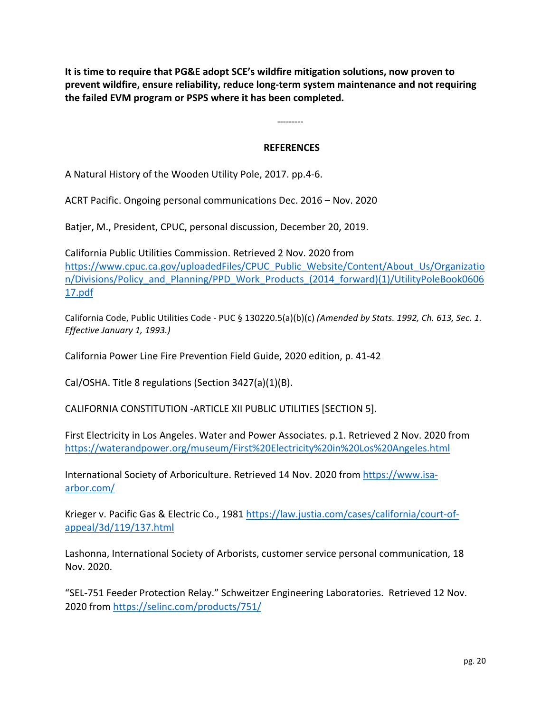It is time to require that PG&E adopt SCE's wildfire mitigation solutions, now proven to prevent wildfire, ensure reliability, reduce long-term system maintenance and not requiring the failed EVM program or PSPS where it has been completed.

### **REFERENCES**

---------

A Natural History of the Wooden Utility Pole, 2017. pp.4-6.

ACRT Pacific. Ongoing personal communications Dec. 2016 - Nov. 2020

Batjer, M., President, CPUC, personal discussion, December 20, 2019.

California Public Utilities Commission. Retrieved 2 Nov. 2020 from https://www.cpuc.ca.gov/uploadedFiles/CPUC\_Public\_Website/Content/About\_Us/Organizatio n/Divisions/Policy\_and\_Planning/PPD\_Work\_Products\_(2014\_forward)(1)/UtilityPoleBook0606 17.pdf

California Code, Public Utilities Code - PUC § 130220.5(a)(b)(c) (Amended by Stats. 1992, Ch. 613, Sec. 1. *Effective January 1, 1993.)*

California Power Line Fire Prevention Field Guide, 2020 edition, p. 41-42

Cal/OSHA. Title 8 regulations (Section 3427(a)(1)(B).

CALIFORNIA CONSTITUTION - ARTICLE XII PUBLIC UTILITIES [SECTION 5].

First Electricity in Los Angeles. Water and Power Associates. p.1. Retrieved 2 Nov. 2020 from https://waterandpower.org/museum/First%20Electricity%20in%20Los%20Angeles.html

International Society of Arboriculture. Retrieved 14 Nov. 2020 from https://www.isaarbor.com/ 

Krieger v. Pacific Gas & Electric Co., 1981 https://law.justia.com/cases/california/court-ofappeal/3d/119/137.html

Lashonna, International Society of Arborists, customer service personal communication, 18 Nov. 2020. 

"SEL-751 Feeder Protection Relay." Schweitzer Engineering Laboratories. Retrieved 12 Nov. 2020 from https://selinc.com/products/751/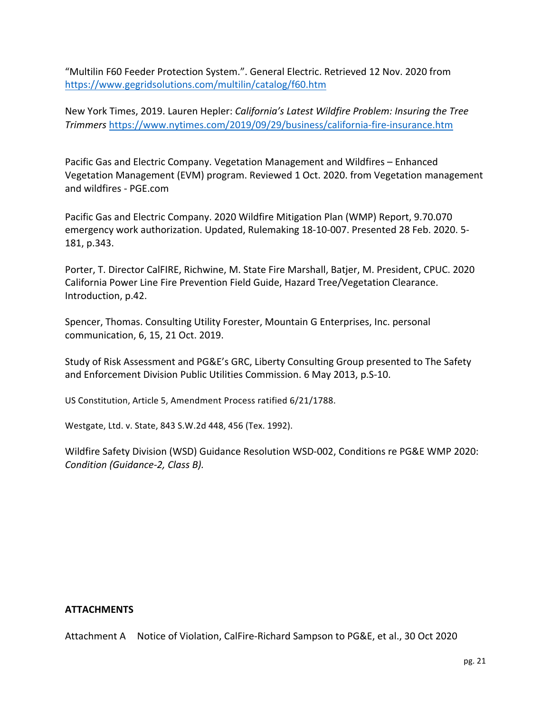"Multilin F60 Feeder Protection System.". General Electric. Retrieved 12 Nov. 2020 from https://www.gegridsolutions.com/multilin/catalog/f60.htm

New York Times, 2019. Lauren Hepler: *California's Latest Wildfire Problem: Insuring the Tree Trimmers* https://www.nytimes.com/2019/09/29/business/california-fire-insurance.htm 

Pacific Gas and Electric Company. Vegetation Management and Wildfires – Enhanced Vegetation Management (EVM) program. Reviewed 1 Oct. 2020. from Vegetation management and wildfires - PGE.com

Pacific Gas and Electric Company. 2020 Wildfire Mitigation Plan (WMP) Report, 9.70.070 emergency work authorization. Updated, Rulemaking 18-10-007. Presented 28 Feb. 2020. 5-181, p.343.

Porter, T. Director CalFIRE, Richwine, M. State Fire Marshall, Batjer, M. President, CPUC. 2020 California Power Line Fire Prevention Field Guide, Hazard Tree/Vegetation Clearance. Introduction, p.42.

Spencer, Thomas. Consulting Utility Forester, Mountain G Enterprises, Inc. personal communication, 6, 15, 21 Oct. 2019.

Study of Risk Assessment and PG&E's GRC, Liberty Consulting Group presented to The Safety and Enforcement Division Public Utilities Commission. 6 May 2013, p.S-10.

US Constitution, Article 5, Amendment Process ratified 6/21/1788.

Westgate, Ltd. v. State, 843 S.W.2d 448, 456 (Tex. 1992).

Wildfire Safety Division (WSD) Guidance Resolution WSD-002, Conditions re PG&E WMP 2020: *Condition (Guidance-2, Class B).*

#### **ATTACHMENTS**

Attachment A Notice of Violation, CalFire-Richard Sampson to PG&E, et al., 30 Oct 2020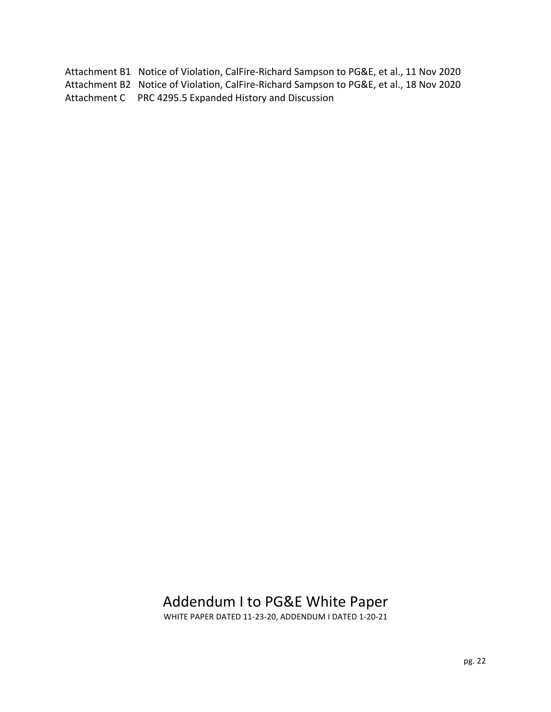Attachment B1 Notice of Violation, CalFire-Richard Sampson to PG&E, et al., 11 Nov 2020 Attachment B2 Notice of Violation, CalFire-Richard Sampson to PG&E, et al., 18 Nov 2020 Attachment C PRC 4295.5 Expanded History and Discussion

## Addendum I to PG&E White Paper

WHITE PAPER DATED 11-23-20, ADDENDUM I DATED 1-20-21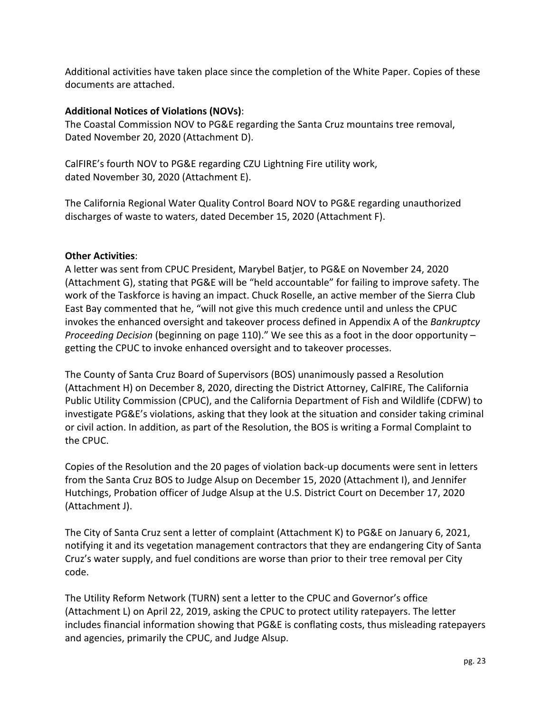Additional activities have taken place since the completion of the White Paper. Copies of these documents are attached.

## **Additional Notices of Violations (NOVs):**

The Coastal Commission NOV to PG&E regarding the Santa Cruz mountains tree removal, Dated November 20, 2020 (Attachment D).

CalFIRE's fourth NOV to PG&E regarding CZU Lightning Fire utility work, dated November 30, 2020 (Attachment E).

The California Regional Water Quality Control Board NOV to PG&E regarding unauthorized discharges of waste to waters, dated December 15, 2020 (Attachment F).

## **Other Activities:**

A letter was sent from CPUC President, Marybel Batjer, to PG&E on November 24, 2020 (Attachment G), stating that PG&E will be "held accountable" for failing to improve safety. The work of the Taskforce is having an impact. Chuck Roselle, an active member of the Sierra Club East Bay commented that he, "will not give this much credence until and unless the CPUC invokes the enhanced oversight and takeover process defined in Appendix A of the *Bankruptcy Proceeding Decision* (beginning on page 110)." We see this as a foot in the door opportunity – getting the CPUC to invoke enhanced oversight and to takeover processes.

The County of Santa Cruz Board of Supervisors (BOS) unanimously passed a Resolution (Attachment H) on December 8, 2020, directing the District Attorney, CalFIRE, The California Public Utility Commission (CPUC), and the California Department of Fish and Wildlife (CDFW) to investigate PG&E's violations, asking that they look at the situation and consider taking criminal or civil action. In addition, as part of the Resolution, the BOS is writing a Formal Complaint to the CPUC.

Copies of the Resolution and the 20 pages of violation back-up documents were sent in letters from the Santa Cruz BOS to Judge Alsup on December 15, 2020 (Attachment I), and Jennifer Hutchings, Probation officer of Judge Alsup at the U.S. District Court on December 17, 2020 (Attachment J).

The City of Santa Cruz sent a letter of complaint (Attachment K) to PG&E on January 6, 2021, notifying it and its vegetation management contractors that they are endangering City of Santa Cruz's water supply, and fuel conditions are worse than prior to their tree removal per City code.

The Utility Reform Network (TURN) sent a letter to the CPUC and Governor's office (Attachment L) on April 22, 2019, asking the CPUC to protect utility ratepayers. The letter includes financial information showing that PG&E is conflating costs, thus misleading ratepayers and agencies, primarily the CPUC, and Judge Alsup.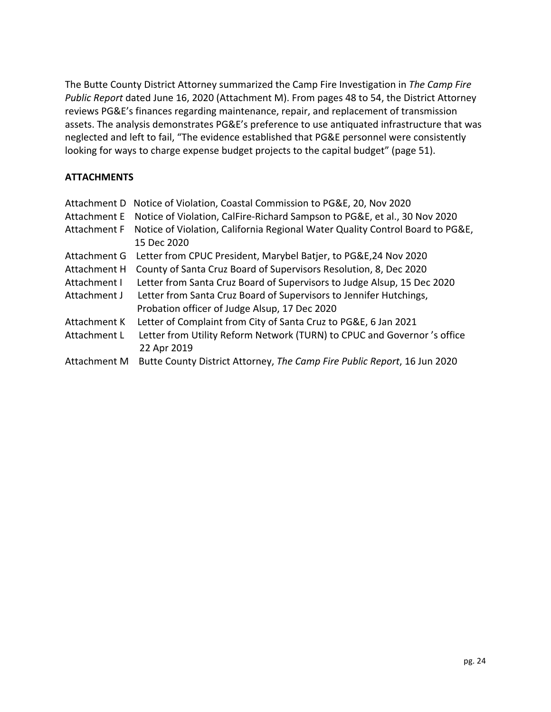The Butte County District Attorney summarized the Camp Fire Investigation in *The Camp Fire Public Report* dated June 16, 2020 (Attachment M). From pages 48 to 54, the District Attorney reviews PG&E's finances regarding maintenance, repair, and replacement of transmission assets. The analysis demonstrates PG&E's preference to use antiquated infrastructure that was neglected and left to fail, "The evidence established that PG&E personnel were consistently looking for ways to charge expense budget projects to the capital budget" (page 51).

## **ATTACHMENTS**

| Attachment D | Notice of Violation, Coastal Commission to PG&E, 20, Nov 2020                 |
|--------------|-------------------------------------------------------------------------------|
| Attachment E | Notice of Violation, CalFire-Richard Sampson to PG&E, et al., 30 Nov 2020     |
| Attachment F | Notice of Violation, California Regional Water Quality Control Board to PG&E, |
|              | 15 Dec 2020                                                                   |
| Attachment G | Letter from CPUC President, Marybel Batjer, to PG&E, 24 Nov 2020              |
| Attachment H | County of Santa Cruz Board of Supervisors Resolution, 8, Dec 2020             |
| Attachment I | Letter from Santa Cruz Board of Supervisors to Judge Alsup, 15 Dec 2020       |
| Attachment J | Letter from Santa Cruz Board of Supervisors to Jennifer Hutchings,            |
|              | Probation officer of Judge Alsup, 17 Dec 2020                                 |
| Attachment K | Letter of Complaint from City of Santa Cruz to PG&E, 6 Jan 2021               |
| Attachment L | Letter from Utility Reform Network (TURN) to CPUC and Governor's office       |
|              | 22 Apr 2019                                                                   |
| Attachment M | Butte County District Attorney, The Camp Fire Public Report, 16 Jun 2020      |
|              |                                                                               |